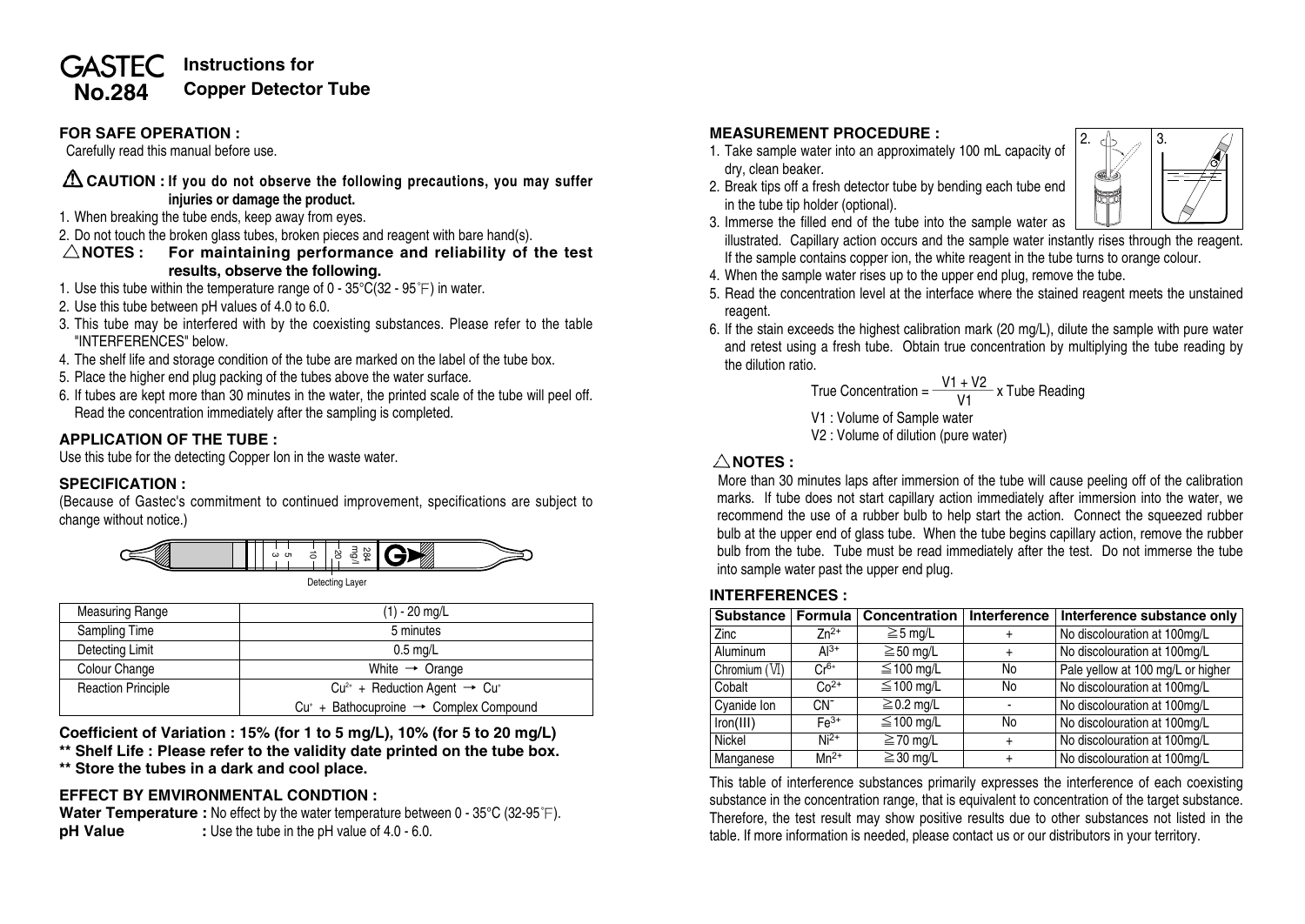#### **Instructions for GASTEC Copper Detector TubeNo.284**

### **FOR SAFE OPERATION :**

Carefully read this manual before use.

### **CAUTION : If you do not observe the following precautions, you may suffer injuries or damage the product.**

- 1. When breaking the tube ends, keep away from eyes.
- 2. Do not touch the broken glass tubes, broken pieces and reagent with bare hand(s).
- **NOTES : For maintaining performance and reliability of the test results, observe the following.**
- 1. Use this tube within the temperature range of  $0 35^{\circ}C(32 95^{\circ}F)$  in water.
- 2. Use this tube between pH values of 4.0 to 6.0.
- 3. This tube may be interfered with by the coexisting substances. Please refer to the table "INTERFERENCES" below.
- 4. The shelf life and storage condition of the tube are marked on the label of the tube box.
- 5. Place the higher end plug packing of the tubes above the water surface.
- 6. If tubes are kept more than 30 minutes in the water, the printed scale of the tube will peel off. Read the concentration immediately after the sampling is completed.

## **APPLICATION OF THE TUBE :**

Use this tube for the detecting Copper Ion in the waste water.

# **SPECIFICATION :**

(Because of Gastec's commitment to continued improvement, specifications are subject to change without notice.)



Detecting Layer

| <b>Measuring Range</b>    | $(1) - 20$ mg/L                                       |  |  |
|---------------------------|-------------------------------------------------------|--|--|
| Sampling Time             | 5 minutes                                             |  |  |
| Detecting Limit           | $0.5$ mg/L                                            |  |  |
| Colour Change             | White $\rightarrow$ Orange                            |  |  |
| <b>Reaction Principle</b> | $Cu^{2+}$ + Reduction Agent $\rightarrow Cu^{+}$      |  |  |
|                           | $Cu^*$ + Bathocuproine $\rightarrow$ Complex Compound |  |  |

**Coefficient of Variation : 15% (for 1 to 5 mg/L), 10% (for 5 to 20 mg/L)**

**\*\* Shelf Life : Please refer to the validity date printed on the tube box. \*\* Store the tubes in a dark and cool place.**

# **EFFECT BY EMVIRONMENTAL CONDTION :**

**Water Temperature :** No effect by the water temperature between 0 - 35°C (32-95°F). **pH Value** : Use the tube in the pH value of 4.0 - 6.0.

# **MEASUREMENT PROCEDURE :**

- 1. Take sample water into an approximately 100 mL capacity of dry, clean beaker.
- 2. Break tips off a fresh detector tube by bending each tube end in the tube tip holder (optional).



- 3. Immerse the filled end of the tube into the sample water as
- illustrated. Capillary action occurs and the sample water instantly rises through the reagent. If the sample contains copper ion, the white reagent in the tube turns to orange colour.
- 4. When the sample water rises up to the upper end plug, remove the tube.
- 5. Read the concentration level at the interface where the stained reagent meets the unstained reagent.
- 6. If the stain exceeds the highest calibration mark (20 mg/L), dilute the sample with pure water and retest using a fresh tube. Obtain true concentration by multiplying the tube reading by the dilution ratio.

True Concentration = 
$$
\frac{V1 + V2}{V1} \times
$$
 *Table Reading*

V1 : Volume of Sample water

V2 : Volume of dilution (pure water)

### $\triangle$ NOTES :

More than 30 minutes laps after immersion of the tube will cause peeling off of the calibration marks. If tube does not start capillary action immediately after immersion into the water, we recommend the use of a rubber bulb to help start the action. Connect the squeezed rubber bulb at the upper end of glass tube. When the tube begins capillary action, remove the rubber bulb from the tube. Tube must be read immediately after the test. Do not immerse the tube into sample water past the upper end plug.

### **INTERFERENCES :**

| Substance   Formula |           | Concentration   Interference |           | Interference substance only       |
|---------------------|-----------|------------------------------|-----------|-----------------------------------|
| <b>Zinc</b>         | $7n^{2+}$ | $\geq$ 5 mg/L                | $\pm$     | No discolouration at 100mg/L      |
| Aluminum            | $Al^{3+}$ | $\geq$ 50 mg/L               | $\ddot{}$ | No discolouration at 100mg/L      |
| Chromium (VI)       | $Cr6+$    | $\leq$ 100 mg/L              | No        | Pale yellow at 100 mg/L or higher |
| Cobalt              | $Co2+$    | $\leq$ 100 mg/L              | No        | No discolouration at 100mg/L      |
| Cvanide Ion         | $CN^-$    | $\geq$ 0.2 mg/L              |           | No discolouration at 100mg/L      |
| Iron(III)           | $Fe3+$    | $\leq$ 100 mg/L              | No        | No discolouration at 100mg/L      |
| Nickel              | $Ni2+$    | $\geq$ 70 mg/L               | $\ddot{}$ | No discolouration at 100mg/L      |
| Manganese           | $Mn^{2+}$ | $\geq$ 30 mg/L               | $\ddot{}$ | No discolouration at 100mg/L      |

This table of interference substances primarily expresses the interference of each coexisting substance in the concentration range, that is equivalent to concentration of the target substance. Therefore, the test result may show positive results due to other substances not listed in the table. If more information is needed, please contact us or our distributors in your territory.